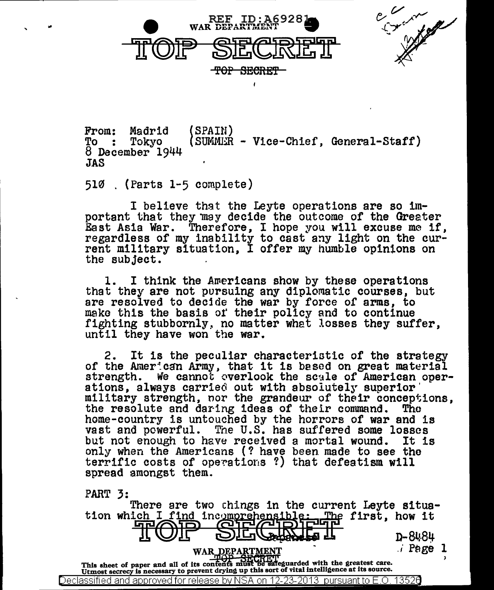

Contraction of the Contraction

From: Madrid<br>To : Tokyo  $8$  December  $1944$ JAS (SPAIN)  $(SUMM:R - Vice-Chief, General-Staff)$ 

510 . (Parts 1-5 complete)

I believe thst the Leyte operations are so important that they may decide the outcome of the Greater East Asia War. Therefore, I hope you will excuse me if, regardless of my inability to cast any light on the current military situation, I offer my humble opinions on the subject.

1. I think the Awericans show by these operations that they are not pursuing any diplomatic courses, but are resolved to decide the war by force of arms, to make this the basis ot' their policy and to continue fighting stubbornly, no matter what losses they suffer. until they have won the war.

2. It is the peculiar characteristic of the strategy of the Amer:can Army, that it is based on great material strength. We cannot overlook the scale of American oper-<br>ations, always carried out with absolutely superior<br>military strength, nor the grandeur of their conceptions,<br>the resolute and daring ideas of their command. The home-country is untouched by the horrors of war and is vast and powerful. The U.S. has suffered some losses but not enough to have received a mortal wound. It is only when the Americans (? have been made to see the terrific costs of operations ?) that defeatism will spread amongst them.

PART 3:

'

There are two chings in the current Leyte situation which I find in~~~ first, how it if«J)lP ~ n-s~.a~ WARJ?~..f A~TMENT • 'i Pe ge 1 This sheet of paper and all of its contents must be sateguarded with the greatest care.<br>Utmost secrecy is necessary to prevent drying up this sort of vital intelligence at its source. Declassified and approved for release by NSA on 12-23-2013  $\,$  pursuant to E.O. 1352 $0$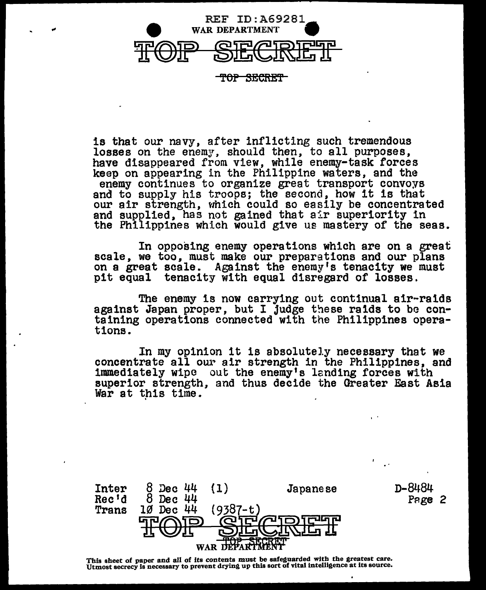

<del>OP SECRET</del>

is that our navy, after inflicting such tremendous losses on the enemy, should then, to all purposes, have disappeared from view, while enemy-task forces keep on appearing in the Philippine waters, and the enemy continues to organize great transport convoys and to supply his troops; the second, how it is that our air strength, which could so easily be concentrated and supplied, has not gained that air superiority in the Philippines which would give us mastery of the seas.

In opposing enemy operations which are on a great scale, we too, must make our preparations and our plans on a great scale. Against the enemy's tenacity we must pit equal tenacity with equal disregard of losses.

The enemy is now carrying out continual air-raids against Japan proper, but I judge these raids to be containing operations connected with the Philippines opera- tions.

In my opinion it is absolutely necessary that we concentrate all our air strength in the Philippines, and immediately wipe out the enemy's landing forces with superior strength, and thus decide the Greater East Asia War at this time.

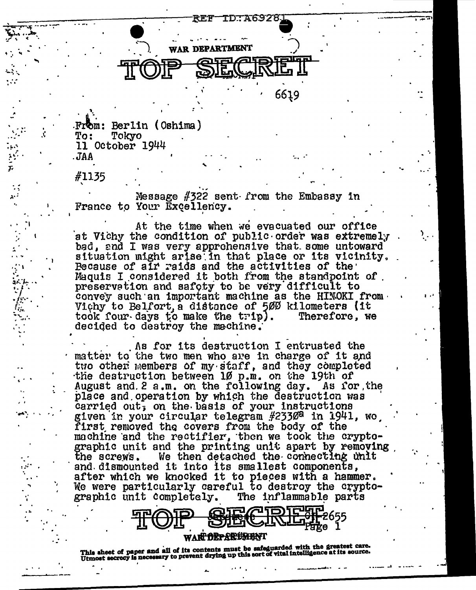

From: Berlin (Oshima) To: Tokyo 11 October 1944 . JAA

#1135

Message  $#322$  sent from the Embassy in France to Your Excellency.

At the time when we evacuated our office at Vichy the condition of public order was extremely bad, and I was very approhensive that some untoward situation might arise in that place or its vicinity. Because of air raids and the activities of the Maquis I considered it both from the standpoint of preservation and safety to be very difficult to convey such an important machine as the HINOKI from. Vichy to Belfort, a distance of 500 kilometers (it Therefore, we took four days to make the trip). decided to destroy the machine.

As for its destruction I entrusted the matter to the two men who are in charge of it and two other members of my staff, and they completed the destruction between 10 p.m. on the 19th of August and 2 a.m. on the following day. As for the place and operation by which the destruction was carried out, on the basis of your instructions given in your circular telegram #2330<sup>a</sup> in 1941, wo first removed the covers from the body of the machine and the rectifier, then we took the cryptographic unit and the printing unit apart by removing We then detached the connecting unit the screws. and dismounted it into its smallest components, after which we knocked it to pieces with a hammer. We were particularly careful to destroy the cryptographic unit completely. The inflammable parts

WAR<del>T DEPARTMEN</del>T

This sheet of paper and all of its contents must be safeguarded with the greatest care.<br>Utmost secrecy is necessary to prevent drying up this sort of vital intelligence at its source.

סיה

Page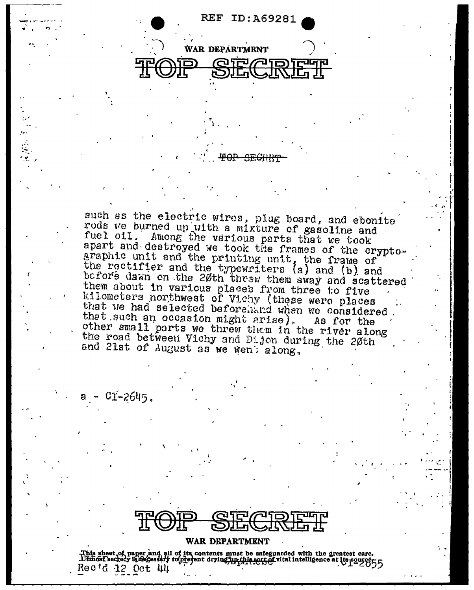**REF ID: A69281** 

**WAR DEPARTMENT ar** 

such as the electric wires, plug board, and ebonite rods we burned up with a mixture of gasoline and fuel oil. Among the various parts that we took apart and destroyed we took the frames of the cryptographic unit and the printing unit, the frame of the rectifier and the typewriters (a) and (b) and before dawn on the 20th threw them away and scattered them about in various places from three to five kilometers northwest of Vichy (these were places that we had selected beforehand when we considered that such an occasion might arise). As for the other small parts we threw them in the river along the road between Vichy and Dijon during the 20th and 21st of August as we went along.

 $C1 - 2645$ .

WAR DEPARTMENT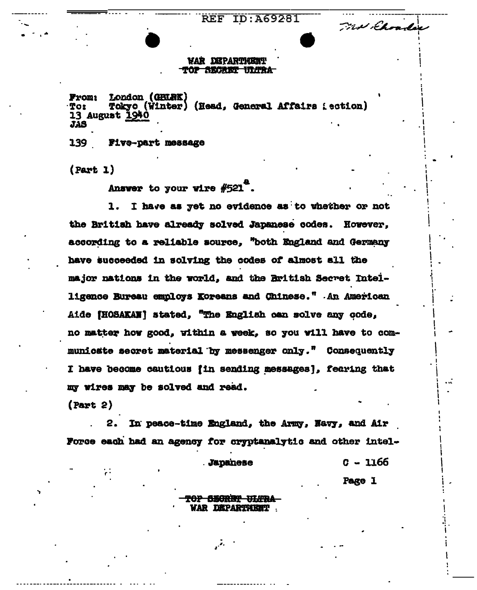**REF ID: A69281** 

### **WAR DEPARTMENT** TOP SECRET ULTRA

London (GRURK) **From:** Tot Tokyo (Winter) (Head. General Affairs : ection) 13 August 1940 **JAS** 

139 Five-part message

 $(Part 1)$ 

Ansver to your vire #521".

I have as yet no evidence as to whether or not 1. the British have already solved Japanese codes. However. according to a reliable source. "both England and Germany have succeeded in solving the codes of almost all the major nations in the world, and the British Secret Intelligence Bureau employs Koreans and Chinese." An American Aide fHOSAKAN' stated. "The English can solve any code. no matter how good, within a week, so you will have to communicate secret material by messenger only." Consequently I have become cautious fin sending messages1. fearing that my wires may be solved and read.

 $(Part 2)$ 

In peace-time England, the Army, Navy, and Air 2. Force each had an agency for cryptanalytic and other intel-

**Japanese** 

C - 1166

and in hoadse

Page 1

## <del>POP SECRET ULTRA</del> VAR DEPARTMENT

 $\mathcal{L}^{\mathcal{L}}$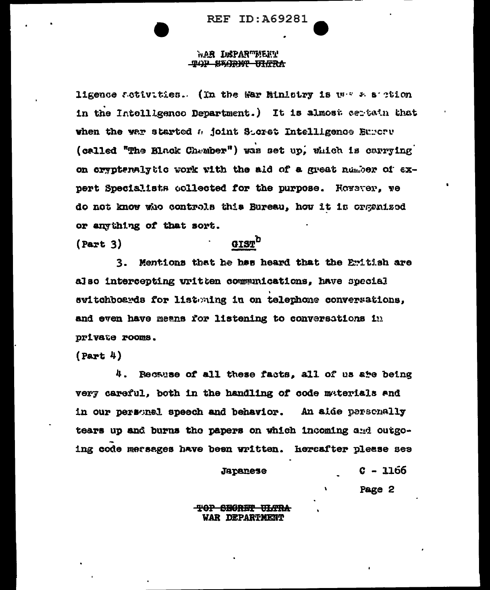#### war Insparciment TOP SEARING WITH

ligence activities. (In the War Minlatry is we a section in the Intolligenco Department.) It is almost certain that when the war started a joint Storet Intelligence Burery (called "The Black Chember") was set up, which is carrying on crypteralytic work with the aid of a great number of expert Specialists collected for the purpose. However, we do not know who controls this Bureau, how it is organized or anything of that sort.

 $(Part 3)$ 

## GIST<sup>L</sup>

3. Mentions that he has heard that the Emitish are also intercepting uritten communications. have special switchboards for listating in on telephone conversations. and even have means for listening to conversations in private rooms.

 $(Part 4)$ 

4. Recause of all these facts, all of us are being very careful, both in the handling of code materials and in our personel speech and behavior. An aide personally tears up and burns the papers on which incoming and outgoing code mersages have been written. Hercafter please see

Japanese

C - 1166

Page 2

### <del>ARRIT TEACRE TOT</del> **WAR DEPARTMENT**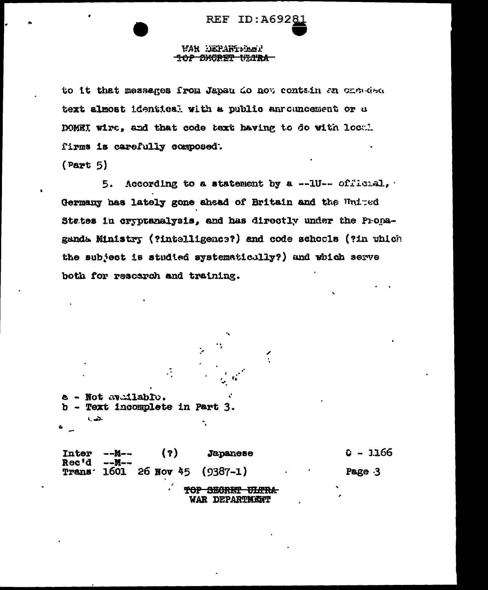#### **WAR DEPARTEMENT** <del>top Sxcret Vijna-</del>

to it that messages from Japan do not contain an onerals text almost identical with a public anrouncement or a DOMEI wire, and that code text having to do with local firms is carefully composed.

 $(Part 5)$ 

5. According to a statement by a --10-- official, Germany has lately gone ahead of Britain and the United States in cryptanalysis, and has directly under the Propaganda Ministry (?intelligence?) and code schools (?in which the subject is studied systematicully?) and which serve both for research and training.

Not available. Text incomplete in Part 3.

 $c - 3.166$ Inter  $(7)$ Japanese --N--Rec'd --M--1601 26 Nov 45  $(9387 - 1)$ Page 3 **Trans** 

> TOP SECRET ULTRA WAR DEPARTMENT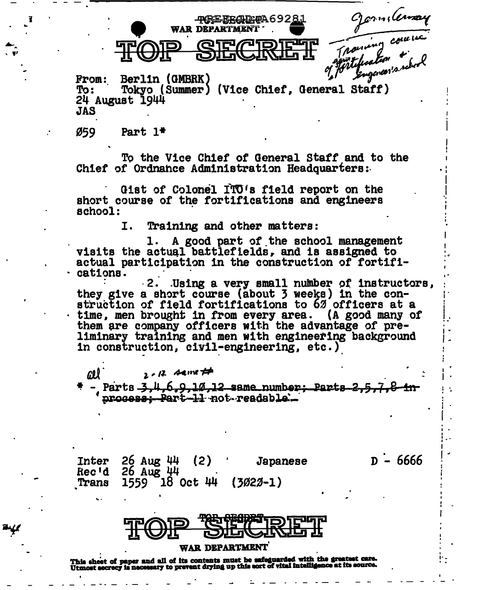Germilenay **-POREERADIMPA69281** 

 $D - 6666$ 

Berlin (GMBRK) **From:** Tokyo (Summer) (Vice Chief, General Staff) To : 24 August 1944 **JAS** 

**WAR DEPARTMENT** 

Ø59. Part  $1*$ 

ŀ.

To the Vice Chief of General Staff and to the Chief of Ordnance Administration Headquarters:

Gist of Colonel ITO's field report on the short course of the fortifications and engineers school:

> I. Training and other matters:

1. A good part of the school management visits the actual battlefields, and is assigned to actual participation in the construction of fortifications.

2. Using a very small number of instructors, they give a short course (about 3 weeks) in the construction of field fortifications to 62 officers at a time, men brought in from every area. (A good many of them are company officers with the advantage of preliminary training and men with engineering background in construction, civil-engineering, etc.)

 $2 - 12$  Agne  $#$ Parts 34 6.9.10.12 same number: Parts 2. process: Part-11 not readable.

 $26$  Aug 44  $(2)$ **Inter** Japanese Rec'd 26 Aug 44  $1559 - 18$  Oct 44 Trans  $(3022 - 1)$ 

#### **WAR DEPARTMENT**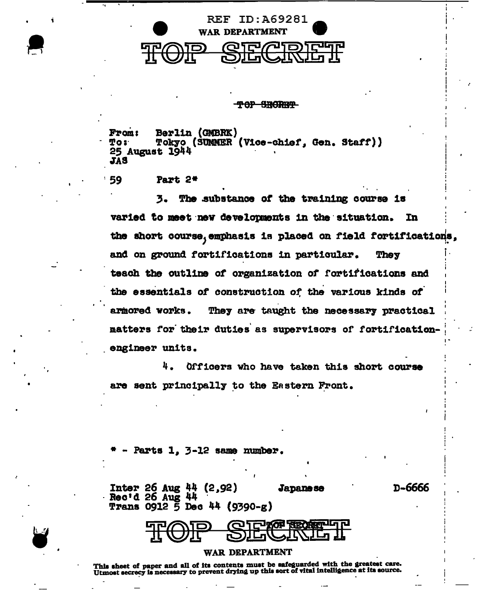

#### TOP SRORET

Berlin (GMBRK) **From:** To: Tokyo (SUMMER (Vice-chief, Gen. Staff)) 25 August 1944 **JAS** 

59 Part 2\*

The substance of the training course is 3. varied to meet new developments in the situation. In the short course, emphasis is placed on field fortifications, They and on ground fortifications in particular. teach the outline of organization of fortifications and the essentials of construction of the various kinds of armored works. They are taught the necessary practical matters for their duties as supervisors of fortificationengineer units.

4. Officers who have taken this short course are sent principally to the Eastern Front.

Parts 1, 3-12 same number.

**Inter 26 Aug 44 (2,92) Japanese** Rec'd 26 Aug 44 **Trans 0912 5 Dec 44 (9390-g)** 

D-6666

**COLLEGE ARTIST** 

#### WAR DEPARTMENT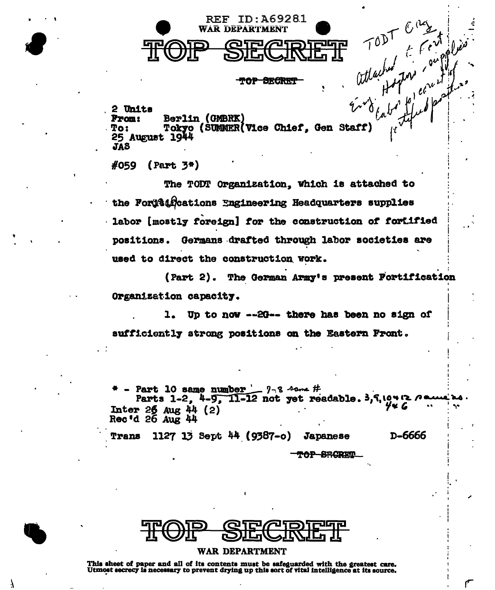

OP-BECRE

H TODT Creek 2 Units Berlin (GMBRK) **Prom:** Tokyo (SUMMER Vice Chief. Gen Staff) To: 25 August 1944 **JAS** 

#059  $(Part 3*)$ 

The TODT Organization, which is attached to the Fortfaircations Engineering Headquarters supplies labor [mostly foreign] for the construction of fortified positions. Germans drafted through labor societies are used to direct the construction work.

The German Army's present Fortification  $(Part 2).$ Organization capacity.

Up to now --2G-- there has been no sign of 1. sufficiently strong positions on the Eastern Front.

Part 10 same number  $-$  7-8 some # Parts 1-2, 4-9, 11-12 not yet readable. 3, 7, 19412 6 4w G Inter  $26$  Aug 44 (2) Rec'd 26 Aug 44

D-6666 1127 13 Sept  $44$  (9387-o) Trans **Japanese** 

<del>OP SRORIT</del>

#### WAR DEPARTMENT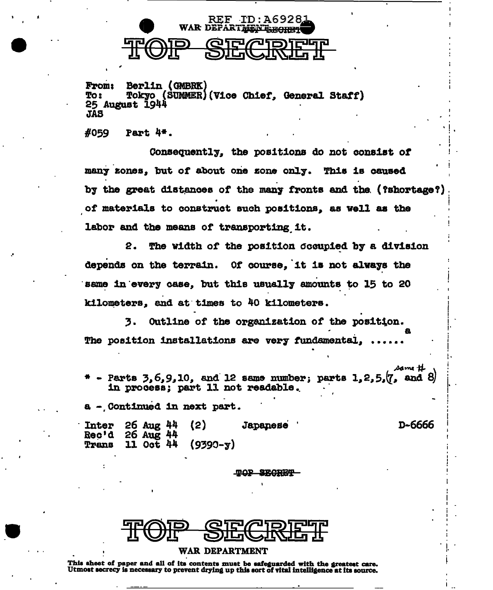

Berlin (GMBRK) **From:** To: **Tokyo (SUMMER)(Vice Chief, General Staff)** 25 August 1944 **JAS** 

#059 Part 4\*.

Consequently, the positions do not consist of many zones. but of about one zone only. This is caused by the great distances of the many fronts and the (?shortage?) of materials to construct such positions, as well as the labor and the means of transporting it.

2. The width of the position occupied by a division depends on the terrain. Of course, it is not always the same in every case, but this usually amounts to 15 to 20 kilometers, and at times to 40 kilometers.

Outline of the organization of the position. 3. The position installations are very fundamental,

Parts  $3,6,9,10$ , and 12 same number; parts  $1,2,5,\sqrt{7}$ , and 8 in process; part 11 not readable.

same tt

a - Continued in next part.

D-6666  $26$  Aug  $44$  $(2)$ **Inter** Japanese Rec'd  $26$  Aug 44 11 Oct 44 Trans  $(9390 - y)$ 

**TOP SECRET** 

#### WAR DEPARTMENT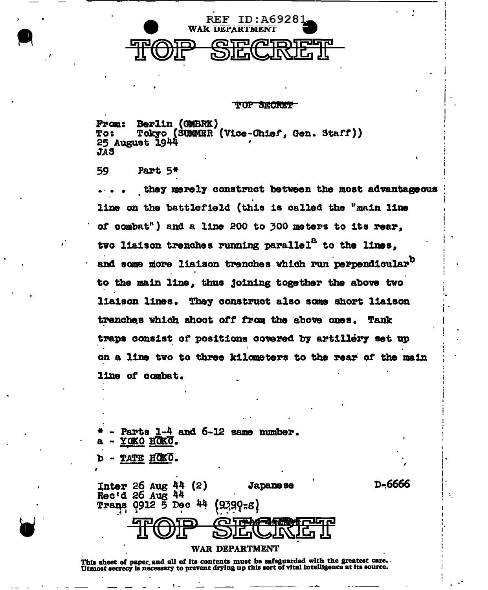

**TOP SECRET** 

Berlin (GMBRK) From: Tokyo (SUMMER (Vice-Chief, Gen. Staff)) To: 25 August 1944 **JAS** 

59 Part 5\*

they merely construct between the most advantageous line on the battlefield (this is called the "main line of combat") and a line 200 to 300 meters to its rear. two liaison trenches running parallel<sup>8</sup> to the lines. and some more liaison trenches which run perpendicular<sup>D</sup> to the main line, thus joining together the above two liaison lines. They construct also some short liaison trenches which shoot off from the above ones. Tank traps consist of positions covered by artillery set up on a line two to three kilometers to the rear of the main line of combat.

D-6666

Parts 1-4 and 6-12 same number. YOKO HOKO. TATE HOKO.

**Japanese Inter 26 Aug 44 (2)** Rec'd 26 Aug 44  $0912 - 5$  Dec  $44$ **Trans** {9399=8}

#### WAR DEPARTMENT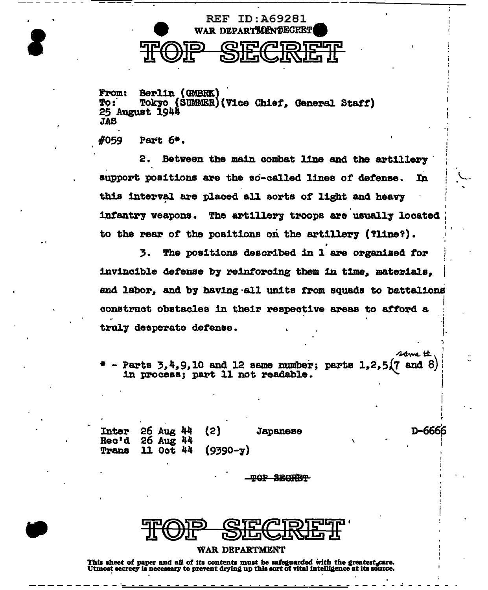

**From:** Berlin (GMBRK) **To:** Tokyo (SUMMER) (Vice Chief, General Staff) 25 August 1944 **JAS** 

#059 Part 6\*.

2. Between the main combat line and the artillery support positions are the so-called lines of defense. In this interval are placed all sorts of light and heavy infantry veapons. The artillery troops are usually located to the rear of the positions on the artillery (?line?).

The positions described in 1 are organized for 3. invincible defense by reinforcing them in time, materials. and labor, and by having all units from squads to battalions construct obstacles in their respective areas to afford a truly desperate defense.

Parts  $3,4,9,10$  and 12 same number; parts  $1,2,5(7$  and 8) in process; part 11 not readable.

| Inter 26 Aug $44$ (2)<br>Rec'd 26 Aug $44$ |                          | <b>Japanese</b> |
|--------------------------------------------|--------------------------|-----------------|
|                                            | Trans 11 Oct 44 (9390-y) |                 |

D-6666

same tt

**MOP SEGRET** 

#### **WAR DEPARTMENT**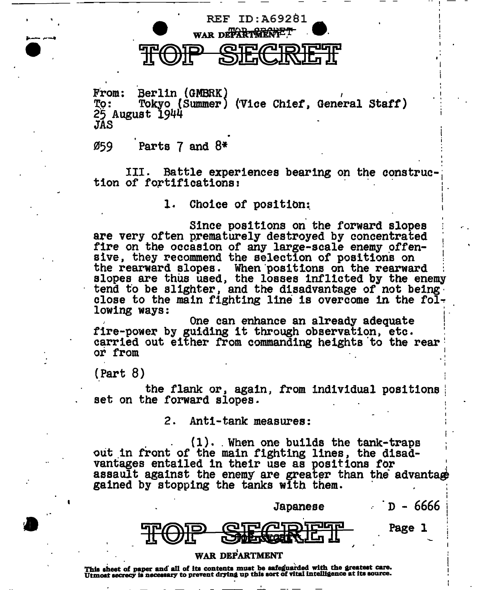# WAR DEPARTMENTE TOP SECRET

REF ID:A692Bl

From: Berlin ( GMBRK )<br>To: Tokyo ( Summer )<br>25 August 1944 JAS I ( 1 Vice Ch1et, General Statt)

 $\varnothing$ 59 Parts 7 and  $8^*$ 

III. Battle experiences bearing on the construction of fortifications:

1. Choice of position:

Since positions on the forward slopes are very often prematurely destroyed by concentrated fire on the occasion of any large-scale enemy offensive, they recommend the selection of positions on the rearward slopes. When ·positions on the rearward slopes are thus used, the losses inflicted by the enemy tend to be slighter, and the disadvantage of not being<br>close to the main fighting line is overcome in the fol-<br>lowing ways:

One can enhance an already adequate one can ennance an aiready adequate<br>fire-power by guiding it through observation, etc. carried out either from commanding heights to the rear or from

(Part 8)

the flank or, again, from individual positions set on the forward slopes.

I

I "

2. Anti-tank measures:

I (1). When one builds the tank-traps out in front of the main fighting lines, the disadvantages entailed in their use as positions for . assault against the enemy are great~r than the advanta~ gained by stopping the tanks with them.

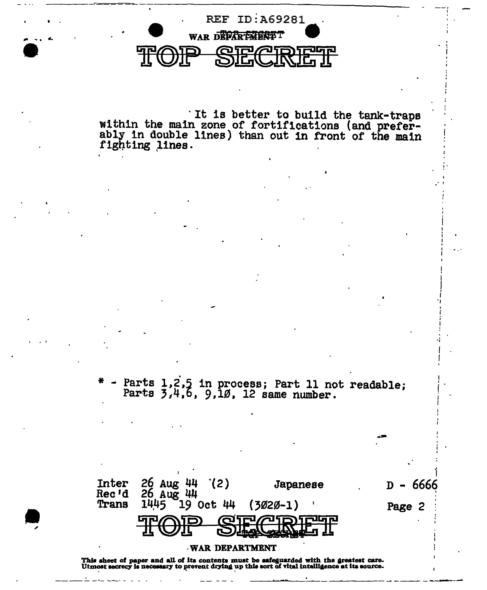

It is better to build the tank-traps<br>within the main zone of fortifications (and prefer-<br>ably in double lines) than out in front of the main fighting lines.

Parts 1,2,5 in process; Part 11 not readable;<br>Parts 3,4,6, 9,10, 12 same number.

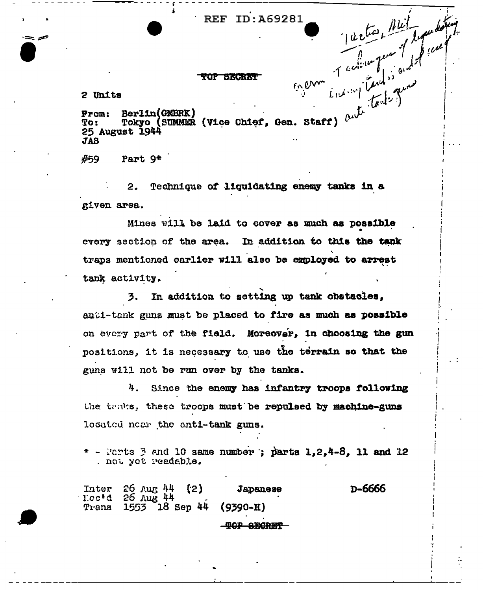2 Units

Berlin (GMBRK)<br>Berlin (GMBRK)<br>Tokyo (SUMMER (Vice Chief, Gen. Staff) and the land of the first of the first of the staff)<br>Part 9\*<br>2. Technique From: To: 25 August 1944 **JAS** 

#59

given area.

Mines will be laid to cover as much as possible every section of the area. In addition to this the tank traps mentioned earlier will also be employed to arrest tank activity.

In addition to setting up tank obstacles. 3. anti-tank guns must be placed to fire as much as possible on every part of the field. Moreover, in choosing the gun positions, it is necessary to use the terrain so that the guns will not be run over by the tanks.

4. Since the enemy has infantry troops following the tenks, these troops must be repulsed by machine-guns located near the anti-tank guns.

 $*$  - Parts  $\beta$  and 10 same number; parts 1,2,4-8, 11 and 12 . not yet readable.

Inter  $26$  Aug  $44$ D-6666  ${21}$ Japanese  $\text{T}.\text{cc}$ <sup>3</sup>d 26 Aug 44 Trans  $1553 - 18$  Sep 44  $(9390 - H)$ -<del>TOP SECRET</del>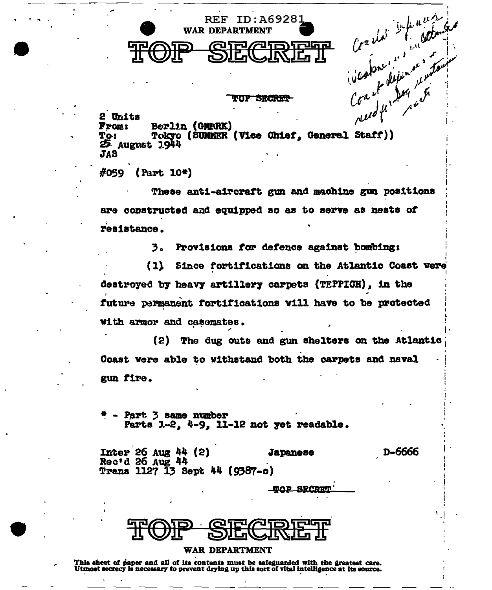

TOP SRCREP

Coastor in the colonial 2 Units Berlin (GMFRK) **From:** Tokyo (SUMMER (Vice Chief, General Staff)) To: 25. August 1.944 **JAS** 

 $#059$  (Part 10\*)

These anti-aircraft gun and machine gun positions are constructed and equipped so as to serve as nests of resistance.

> Provisions for defence against bombing: 3.

 $(1)$ Since fortifications on the Atlantic Coast were destroyed by heavy artillery carpets (TEPPICH). in the future permanent fortifications will have to be protected with armor and casemates.

(2) The dug outs and gun shelters on the Atlantic Coast were able to withstand both the carpets and naval gun fire.

Part 3 same number Parts  $1-2$ ,  $4-9$ , 11-12 not yet readable.

Inter 26 Aug  $44$  (2) **Japanese** D-6666 Rec'd 26 Aug 44 Trans 1127 13 Sept 44 (9387-o)

**MOP SECRET** 

#### WAR DEPARTMENT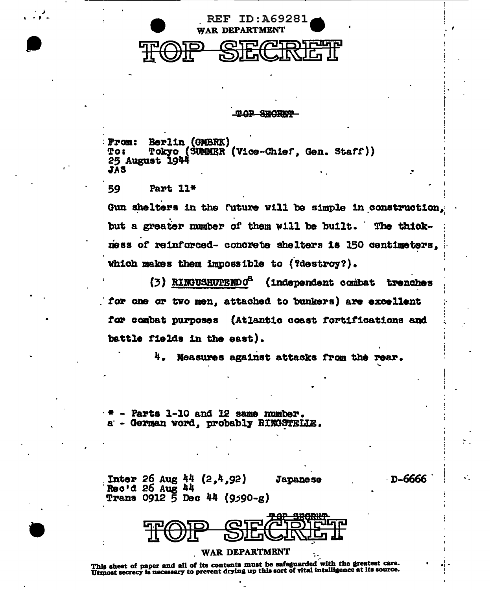

#### mop SROFIEP

**From:** Berlin (GMBRK) Tokyo (SUMMER (Vice-Chief. Gen. Staff)) **To:** 25 August 1944 **JAS** 

59 Part 11\*

Gun shelters in the future will be simple in construction. but a greater number of them will be built. The thickness of reinforced- concrete shelters is 150 centimeters, which makes them impossible to (?destroy?).

(3) RINGUSHUTENDO<sup>2</sup> (independent combat trenches for one or two men. attached to bunkers) are excellent for combat purposes (Atlantic coast fortifications and battle fields in the east).

> 4. Measures against attacks from the rear.

> > D-6666

Parts 1-10 and 12 same number. - German word, probably RINGSTELLE.

**Inter** 26 Aug 44  $(2, 4, 92)$ **Japanese** Rec'd 26 Aug 44 Trans 0912 5 Dec 44 (9590-g)



#### WAR DEPARTMENT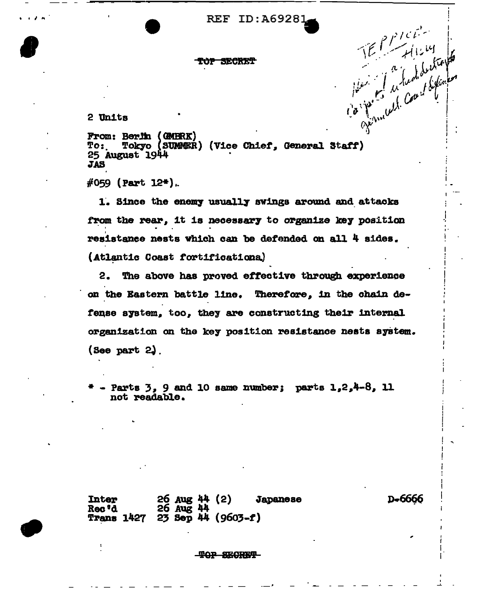**REF ID: A69281** 

TOP SECRET

2 Units

TEP Prices From: Berlin (GMBRK) Tokyo (SUMMER) (Vice Chief, General Staff)  $T_0$ : 25 August 1944 **JAS** 

 $\#059$  (Part 12\*).

1. Since the enemy usually swings around and attacks from the rear. it is necessary to organize key position resistance nests which can be defended on all 4 sides. (Atlantic Coast fortifications)

2. The above has proved effective through experience on the Eastern battle line. Therefore, in the chain defense system, too, they are constructing their internal organization on the key position resistance nests system.  $($ See part 2 $)$ .

- Parts  $3$ , 9 and 10 same number; parts  $1.2.4-8$ . 11 not readable.

 $26$  Aug  $44$  (2)<br> $26$  Aug  $44$ **Inter Japanese** Rec 'd **Trans 1427 23 Sep 44 (9603-f)** 

D<sub>7</sub>6666

**TOP SECRET**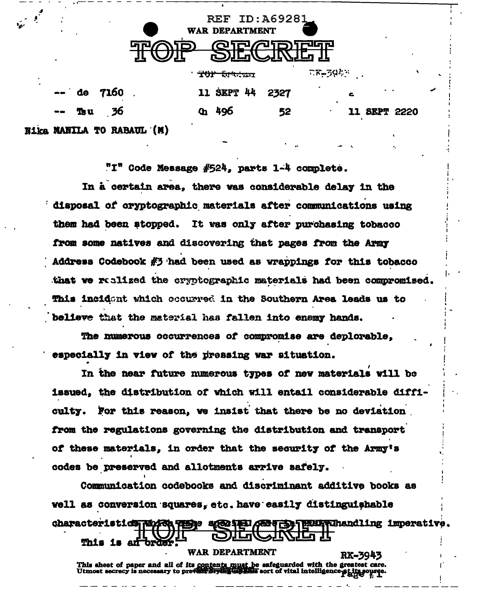| <b>REF ID: A69281</b><br>WAR DEPARTMENT<br>'runn<br>א−⊒ננכ |         |               |                           |  |                       |  |      |                  |  |
|------------------------------------------------------------|---------|---------------|---------------------------|--|-----------------------|--|------|------------------|--|
|                                                            |         |               |                           |  | <del>TOP SM:201</del> |  |      | $78 - 394$       |  |
|                                                            |         | $-$ de $7160$ |                           |  | 11 SEPT 44            |  | 2327 | c.               |  |
|                                                            | $-$ Tou | - 36          |                           |  | $q_1$ 496             |  | 52   | <b>SEPT 2220</b> |  |
|                                                            |         |               | Nika MANILA TO RABAUL (M) |  |                       |  |      |                  |  |

"I" Code Message #524, parts 1-4 complete.

In a certain area, there was considerable delay in the disposal of cryptographic materials after communications using them had been stopped. It was only after purchasing tobacco from some natives and discovering that pages from the Army Address Codebook  $#3$  had been used as wrappings for this tobacco that we realized the cryptographic materials had been compromised. This incident which occurred in the Southern Area leads us to believe that the material has fallen into enemy hands.

The numerous occurrences of compromise are deplorable. especially in view of the pressing war situation.

In the near future numerous types of new materials will be issued, the distribution of which will entail considerable difficulty. For this reason, we insist that there be no deviation from the regulations governing the distribution and transport of these materials, in order that the security of the Army's codes be preserved and allotments arrive safely.

Communication codebooks and discriminant additive books as well as conversion squares, etc. have easily distinguishable **Finith Thandling imperative.** characteristics Nived **WAR DEPARTMENT** 

RX-3943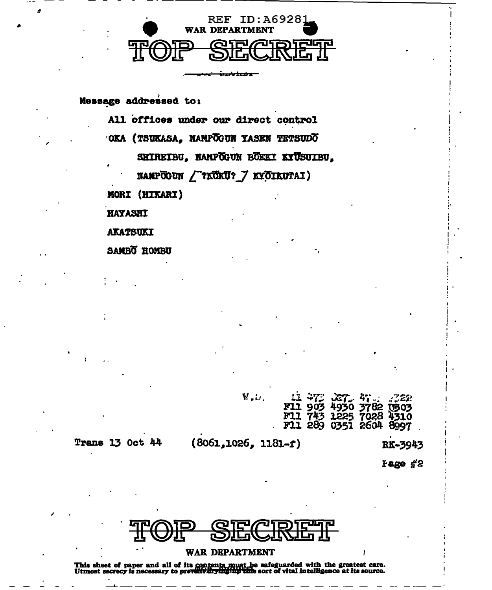

Message addressed to:

All offices under our direct control OKA (TSUKASA, NAMPOGUN YASEN TETSUDO SHIREIBU, NAMPOGUN BÖEKI KYÜSUIBU. NAMPOGUN / ?KOKU? 7 KYÖIKUTAI) MORI (HIXARI) **HAYASHI AKATSUKI** SAMBO HOMBU

| W.J.                     | 11 473 3273 47 33 322 | F11 903 4930 3782 1603<br>F11 743 1225 7028 4310<br>F11 289 0351 2604 8997 |  |
|--------------------------|-----------------------|----------------------------------------------------------------------------|--|
| $(8061, 1026, 1181 - f)$ |                       | RK~3943                                                                    |  |

**Trans 13 Oct 44** 

**Fage** #2

## **WAR DEPARTMENT**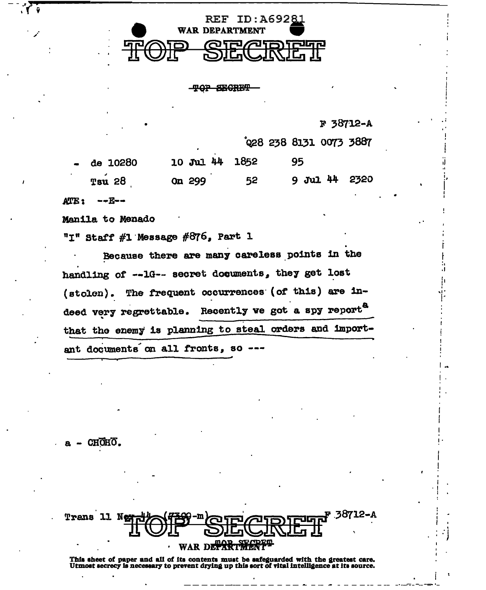

**TOP SECRET** 

F 38712-A

028 238 8131 0073 3887

| $-$ de $10280$ | 10 Jul 44 1852 |    | 95            |  |
|----------------|----------------|----|---------------|--|
| <b>Tsu 28</b>  | On 299         | 52 | 9 Jul 44 2320 |  |

ATE: --E--

 $\sqrt{6}$ 

Manila to Menado

"I" Staff #1 Message #876, Part 1

Because there are many careless points in the handling of --1G-- secret documents, they get lost (stolen). The frequent occurrences (of this) are indeed very regrettable. Recently we got a spy report<sup>a</sup> that the enemy is planning to steal orders and important documents on all fronts, so ---

CHOHO.

|  | Trans 11 Net of 129 - QTP ATDITUM 38712-A |  |
|--|-------------------------------------------|--|
|  | TOIL <b>DECTION</b>                       |  |
|  | · WAR DETARTMENT                          |  |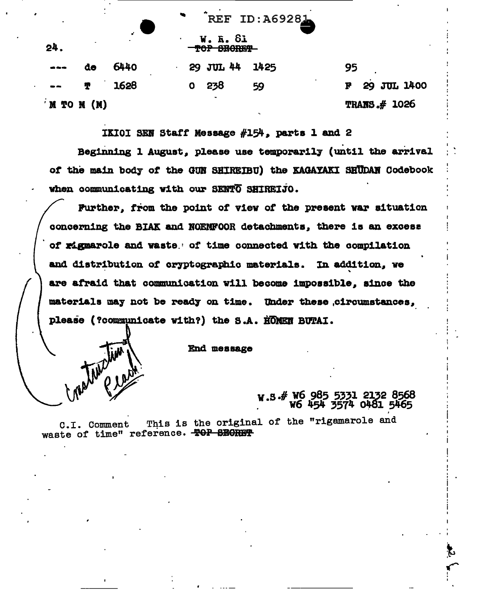| $\bullet$<br>24.                                                                                                                                                                                                                                                                                                                                            | ٠  | $\bullet$ | $\blacksquare$ | ----<br>W. R. 81<br>TOP SECREP | エレ・ユリノムソ州 |                             |  |
|-------------------------------------------------------------------------------------------------------------------------------------------------------------------------------------------------------------------------------------------------------------------------------------------------------------------------------------------------------------|----|-----------|----------------|--------------------------------|-----------|-----------------------------|--|
| $\frac{1}{2} \sum_{i=1}^n \frac{1}{2} \sum_{i=1}^n \frac{1}{2} \sum_{i=1}^n \frac{1}{2} \sum_{i=1}^n \frac{1}{2} \sum_{i=1}^n \frac{1}{2} \sum_{i=1}^n \frac{1}{2} \sum_{i=1}^n \frac{1}{2} \sum_{i=1}^n \frac{1}{2} \sum_{i=1}^n \frac{1}{2} \sum_{i=1}^n \frac{1}{2} \sum_{i=1}^n \frac{1}{2} \sum_{i=1}^n \frac{1}{2} \sum_{i=1}^n \frac{1}{2} \sum_{i=$ | de | 6440      |                | 29 JUL 44                      | 1425      | 95                          |  |
| $\bullet$                                                                                                                                                                                                                                                                                                                                                   | T  | 1628      | o              | 238                            | 59        | $\cdot$<br>29 JUL 1400<br>F |  |
| 'M TO M (M)                                                                                                                                                                                                                                                                                                                                                 |    |           |                | $\blacksquare$                 |           | TRANS $#$ 1026              |  |

 $D \cdot \lambda$ 69231

IKIOI SEN Staff Message #154, parts 1 and 2

Beginning 1 August, please use temporarily (until the arrival of the main body of the GUN SHIREIBU) the KAGAYAKI SHUDAN Codebook when communicating with our SENTO SHIREIJO.

Further, from the point of view of the present war situation concerning the BIAK and NOENFOOR detachments, there is an excess of rigmarole and waste of time connected with the compilation and distribution of cryptographic materials. In addition, we are afraid that communication will become impossible, since the materials may not be ready on time. Under these circumstances, please (?communicate with?) the S.A. HOMEN BUTAI.

End message

Toucham

w.s.# W6 985 5331 2132 8568 W6 454 3574 0481 5465

This is the original of the "rigamarole and C.I. Comment waste of time" reference. TOP SECRET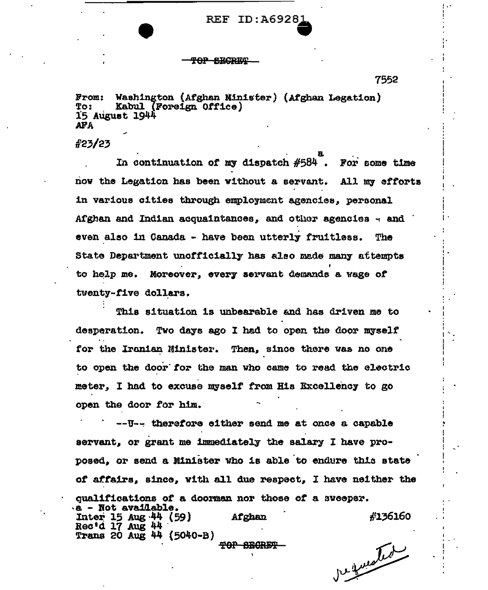**REF ID:A6928** 

<del>POP SECRET</del>

7552

Washington (Afghan Minister) (Afghan Legation) From: Kabul (Foreign Office) To: 15 August 1944 **AFA** 

 $\frac{25}{25}$ 

In continuation of my dispatch  $#584$ . For some time now the Legation has been without a servant. All my efforts in various cities through employment agencies, personal Afghan and Indian acquaintances, and other agencies - and even also in Canada - have been utterly fruitless. **The** State Department unofficially has also made many attempts to help me. Moreover, every servant demands a wage of tventy-five dollars.

This situation is unbearable and has driven me to desperation. Two days ago I had to open the door myself for the Iranian Minister. Then, since there was no one to open the door for the man who came to read the electric meter, I had to excuse myself from His Excellency to go open the door for him.

--U-- therefore cither send me at once a capable servant. or grant me immediately the salary I have proposed, or send a Minister who is able to endure this state of affairs, since, with all due respect, I have neither the qualifications of a doorman nor those of a sweeper. .a - Not available. #136160 Inter 15 Aug 44 (59) Afghan Rec'd 17 Aug 44 Trans 20 Aug 44 (5040-B) **TOP SECRET** 

be quested